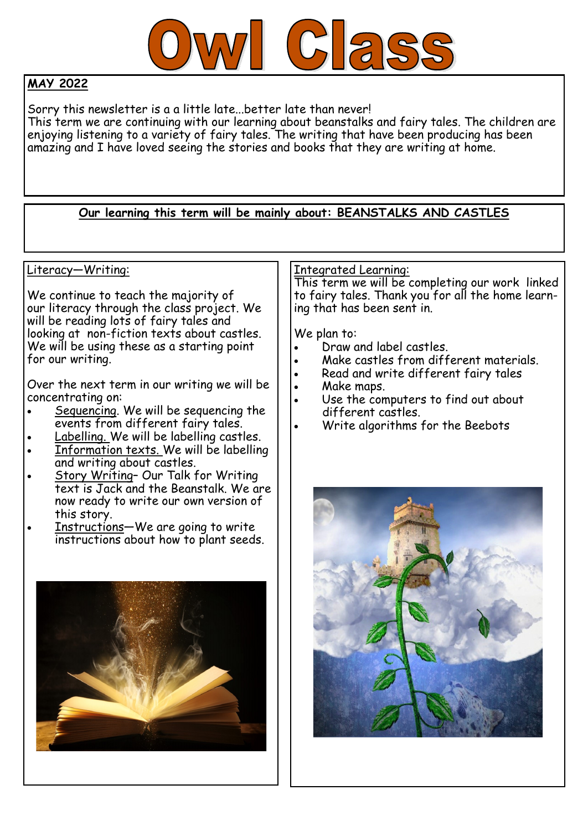

## **MAY 2022**

Sorry this newsletter is a a little late...better late than never! This term we are continuing with our learning about beanstalks and fairy tales. The children are enjoying listening to a variety of fairy tales. The writing that have been producing has been amazing and I have loved seeing the stories and books that they are writing at home.

## **Our learning this term will be mainly about: BEANSTALKS AND CASTLES**

#### Literacy—Writing:

We continue to teach the majority of our literacy through the class project. We will be reading lots of fairy tales and looking at non-fiction texts about castles. We will be using these as a starting point for our writing.

Over the next term in our writing we will be concentrating on:

- Sequencing. We will be sequencing the events from different fairy tales.
- Labelling. We will be labelling castles.
- Information texts. We will be labelling and writing about castles.
- Story Writing– Our Talk for Writing text is Jack and the Beanstalk. We are now ready to write our own version of this story.
- Instructions—We are going to write instructions about how to plant seeds.



### Integrated Learning:

This term we will be completing our work linked to fairy tales. Thank you for all the home learning that has been sent in.

We plan to:

- Draw and label castles.
- Make castles from different materials.
- Read and write different fairy tales
- Make maps.
- Use the computers to find out about different castles.
- Write algorithms for the Beebots